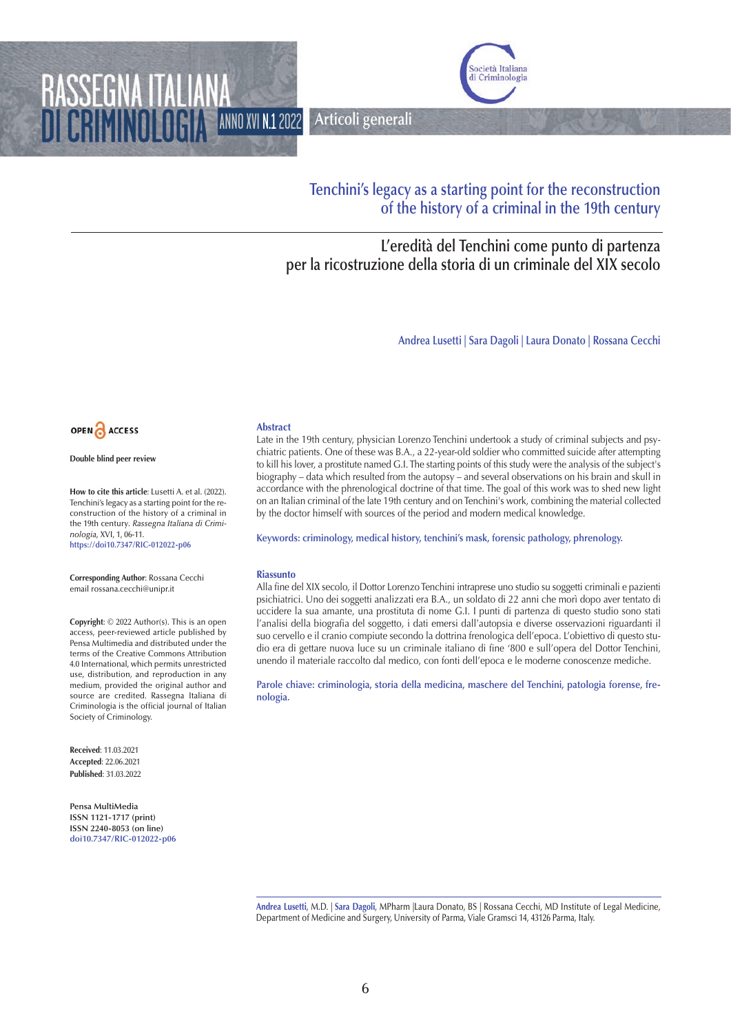ANNO XVI N.12022 **Articoli generali**



# **Tenchini's legacy as a starting point for the reconstruction of the history of a criminal in the 19th century**

# **L'eredità del Tenchini come punto di partenza per la ricostruzione della storia di un criminale del XIX secolo**

**Andrea Lusetti | Sara Dagoli | Laura Donato | Rossana Cecchi** 



RASSEGNA

**Double blind peer review**

**How to cite this article**: Lusetti A. et al. (2022). Tenchini's legacy as a starting point for the reconstruction of the history of a criminal in the 19th century. *Rassegna Italiana di Criminologia*, XVI, 1, 06-11. **https://doi10.7347/RIC-012022-p06**

**Corresponding Author**: Rossana Cecchi email rossana.cecchi@unipr.it

**Copyright**: © 2022 Author(s). This is an open access, peer-reviewed article published by Pensa Multimedia and distributed under the terms of the Creative Commons Attribution 4.0 International, which permits unrestricted use, distribution, and reproduction in any medium, provided the original author and source are credited. Rassegna Italiana di Criminologia is the official journal of Italian Society of Criminology.

**Received**: 11.03.2021 **Accepted**: 22.06.2021 **Published**: 31.03.2022

**Pensa MultiMedia ISSN 1121-1717 (print) ISSN 2240-8053 (on line) doi10.7347/RIC-012022-p06**

#### **Abstract**

Late in the 19th century, physician Lorenzo Tenchini undertook a study of criminal subjects and psychiatric patients. One of these was B.A., a 22-year-old soldier who committed suicide after attempting to kill his lover, a prostitute named G.I. The starting points of this study were the analysis of the subject's biography – data which resulted from the autopsy – and several observations on his brain and skull in accordance with the phrenological doctrine of that time. The goal of this work was to shed new light on an Italian criminal of the late 19th century and on Tenchini's work, combining the material collected by the doctor himself with sources of the period and modern medical knowledge.

**Keywords: criminology, medical history, tenchini's mask, forensic pathology, phrenology.** 

#### **Riassunto**

Alla fine del XIX secolo, il Dottor Lorenzo Tenchini intraprese uno studio su soggetti criminali e pazienti psichiatrici. Uno dei soggetti analizzati era B.A., un soldato di 22 anni che morì dopo aver tentato di uccidere la sua amante, una prostituta di nome G.I. I punti di partenza di questo studio sono stati l'analisi della biografia del soggetto, i dati emersi dall'autopsia e diverse osservazioni riguardanti il suo cervello e il cranio compiute secondo la dottrina frenologica dell'epoca. L'obiettivo di questo studio era di gettare nuova luce su un criminale italiano di fine '800 e sull'opera del Dottor Tenchini, unendo il materiale raccolto dal medico, con fonti dell'epoca e le moderne conoscenze mediche.

**Parole chiave: criminologia, storia della medicina, maschere del Tenchini, patologia forense, frenologia.**

**Andrea Lusetti**, M.D. | **Sara Dagoli**, MPharm |Laura Donato, BS | Rossana Cecchi, MD Institute of Legal Medicine, Department of Medicine and Surgery, University of Parma, Viale Gramsci 14, 43126 Parma, Italy.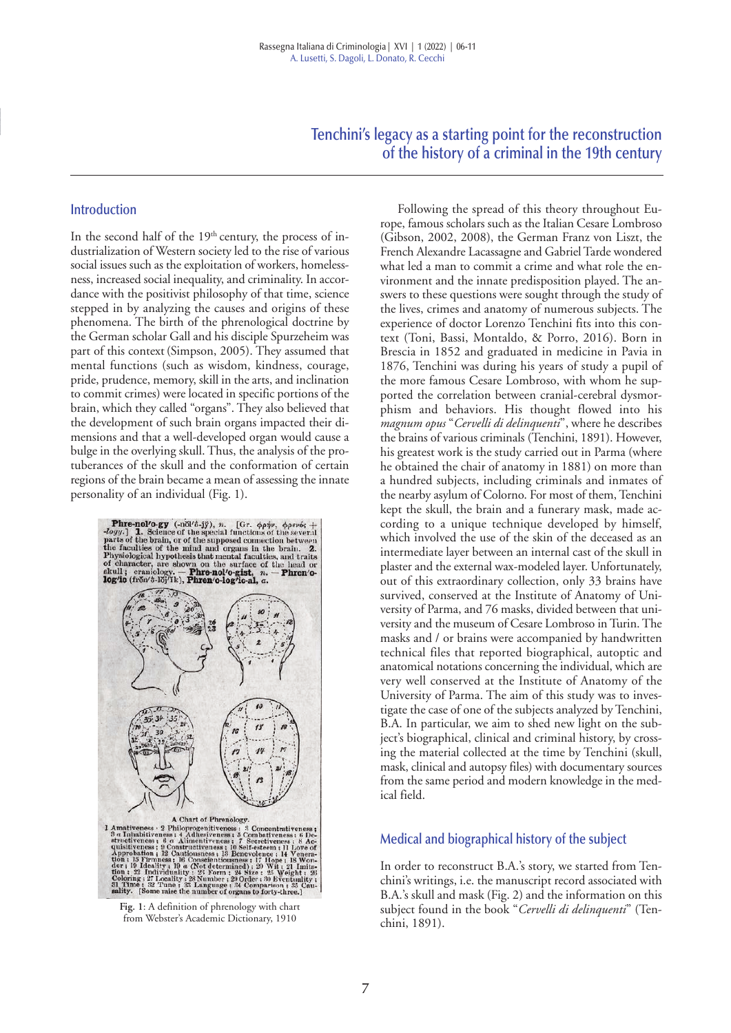**Tenchini's legacy as a starting point for the reconstruction of the history of a criminal in the 19th century** 

#### **Introduction**

In the second half of the  $19<sup>th</sup>$  century, the process of industrialization of Western society led to the rise of various social issues such as the exploitation of workers, homelessness, increased social inequality, and criminality. In accordance with the positivist philosophy of that time, science stepped in by analyzing the causes and origins of these phenomena. The birth of the phrenological doctrine by the German scholar Gall and his disciple Spurzeheim was part of this context (Simpson, 2005). They assumed that mental functions (such as wisdom, kindness, courage, pride, prudence, memory, skill in the arts, and inclination to commit crimes) were located in specific portions of the brain, which they called "organs". They also believed that the development of such brain organs impacted their dimensions and that a well-developed organ would cause a bulge in the overlying skull. Thus, the analysis of the protuberances of the skull and the conformation of certain regions of the brain became a mean of assessing the innate personality of an individual (Fig. 1).



from Webster's Academic Dictionary, 1910

Following the spread of this theory throughout Europe, famous scholars such as the Italian Cesare Lombroso (Gibson, 2002, 2008), the German Franz von Liszt, the French Alexandre Lacassagne and Gabriel Tarde wondered what led a man to commit a crime and what role the environment and the innate predisposition played. The answers to these questions were sought through the study of the lives, crimes and anatomy of numerous subjects. The experience of doctor Lorenzo Tenchini fits into this context (Toni, Bassi, Montaldo, & Porro, 2016). Born in Brescia in 1852 and graduated in medicine in Pavia in 1876, Tenchini was during his years of study a pupil of the more famous Cesare Lombroso, with whom he supported the correlation between cranial-cerebral dysmorphism and behaviors. His thought flowed into his *magnum opus* "*Cervelli di delinquenti*", where he describes the brains of various criminals (Tenchini, 1891). However, his greatest work is the study carried out in Parma (where he obtained the chair of anatomy in 1881) on more than a hundred subjects, including criminals and inmates of the nearby asylum of Colorno. For most of them, Tenchini kept the skull, the brain and a funerary mask, made according to a unique technique developed by himself, which involved the use of the skin of the deceased as an intermediate layer between an internal cast of the skull in plaster and the external wax-modeled layer. Unfortunately, out of this extraordinary collection, only 33 brains have survived, conserved at the Institute of Anatomy of University of Parma, and 76 masks, divided between that university and the museum of Cesare Lombroso in Turin. The masks and / or brains were accompanied by handwritten technical files that reported biographical, autoptic and anatomical notations concerning the individual, which are very well conserved at the Institute of Anatomy of the University of Parma. The aim of this study was to investigate the case of one of the subjects analyzed by Tenchini, B.A. In particular, we aim to shed new light on the subject's biographical, clinical and criminal history, by crossing the material collected at the time by Tenchini (skull, mask, clinical and autopsy files) with documentary sources from the same period and modern knowledge in the medical field.

#### **Medical and biographical history of the subject**

In order to reconstruct B.A.'s story, we started from Tenchini's writings, i.e. the manuscript record associated with B.A.'s skull and mask (Fig. 2) and the information on this subject found in the book "*Cervelli di delinquenti*" (Tenchini, 1891).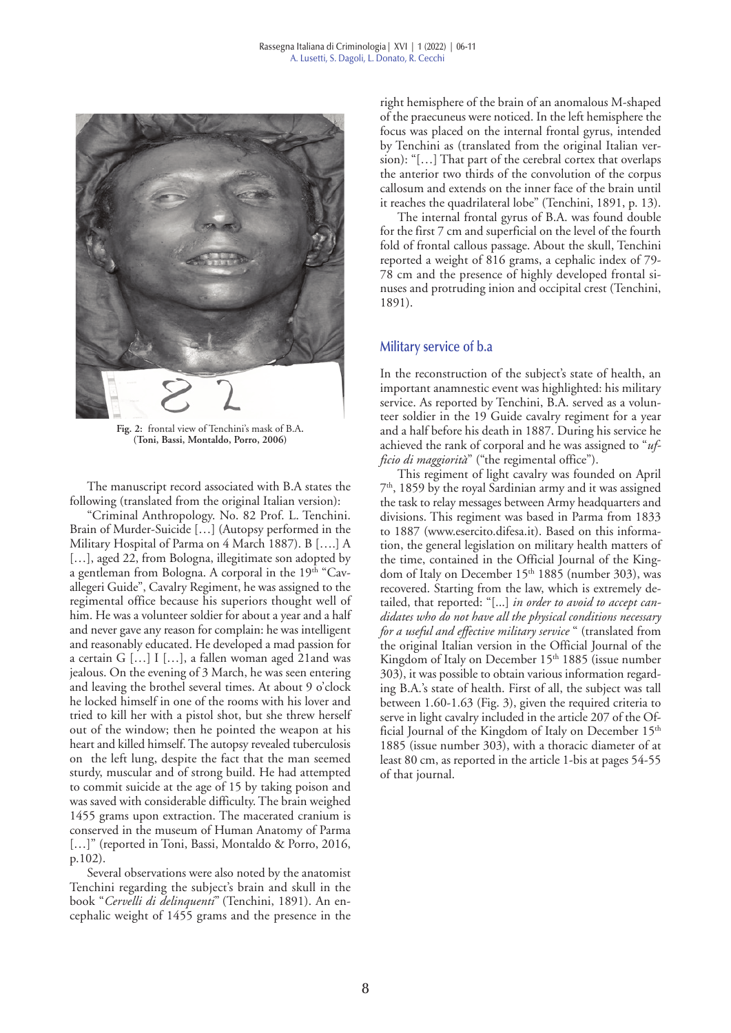

**Fig. 2:** frontal view of Tenchini's mask of B.A**. (Toni, Bassi, Montaldo, Porro, 2006)** 

The manuscript record associated with B.A states the following (translated from the original Italian version):

"Criminal Anthropology. No. 82 Prof. L. Tenchini. Brain of Murder-Suicide […] (Autopsy performed in the Military Hospital of Parma on 4 March 1887). B [….] A [...], aged 22, from Bologna, illegitimate son adopted by a gentleman from Bologna. A corporal in the 19<sup>th</sup> "Cavallegeri Guide", Cavalry Regiment, he was assigned to the regimental office because his superiors thought well of him. He was a volunteer soldier for about a year and a half and never gave any reason for complain: he was intelligent and reasonably educated. He developed a mad passion for a certain G […] I […], a fallen woman aged 21and was jealous. On the evening of 3 March, he was seen entering and leaving the brothel several times. At about 9 o'clock he locked himself in one of the rooms with his lover and tried to kill her with a pistol shot, but she threw herself out of the window; then he pointed the weapon at his heart and killed himself. The autopsy revealed tuberculosis on the left lung, despite the fact that the man seemed sturdy, muscular and of strong build. He had attempted to commit suicide at the age of 15 by taking poison and was saved with considerable difficulty. The brain weighed 1455 grams upon extraction. The macerated cranium is conserved in the museum of Human Anatomy of Parma [...]" (reported in Toni, Bassi, Montaldo & Porro, 2016, p.102).

Several observations were also noted by the anatomist Tenchini regarding the subject's brain and skull in the book "*Cervelli di delinquenti*" (Tenchini, 1891). An encephalic weight of 1455 grams and the presence in the

right hemisphere of the brain of an anomalous M-shaped of the praecuneus were noticed. In the left hemisphere the focus was placed on the internal frontal gyrus, intended by Tenchini as (translated from the original Italian version): "[…] That part of the cerebral cortex that overlaps the anterior two thirds of the convolution of the corpus callosum and extends on the inner face of the brain until it reaches the quadrilateral lobe" (Tenchini, 1891, p. 13).

The internal frontal gyrus of B.A. was found double for the first 7 cm and superficial on the level of the fourth fold of frontal callous passage. About the skull, Tenchini reported a weight of 816 grams, a cephalic index of 79- 78 cm and the presence of highly developed frontal sinuses and protruding inion and occipital crest (Tenchini, 1891).

#### **Military service of b.a**

In the reconstruction of the subject's state of health, an important anamnestic event was highlighted: his military service. As reported by Tenchini, B.A. served as a volunteer soldier in the 19 Guide cavalry regiment for a year and a half before his death in 1887. During his service he achieved the rank of corporal and he was assigned to "*ufficio di maggiorità*" ("the regimental office").

This regiment of light cavalry was founded on April 7<sup>th</sup>, 1859 by the royal Sardinian army and it was assigned the task to relay messages between Army headquarters and divisions. This regiment was based in Parma from 1833 to 1887 (www.esercito.difesa.it). Based on this information, the general legislation on military health matters of the time, contained in the Official Journal of the Kingdom of Italy on December 15<sup>th</sup> 1885 (number 303), was recovered. Starting from the law, which is extremely detailed, that reported: "[...] *in order to avoid to accept candidates who do not have all the physical conditions necessary for a useful and effective military service* " (translated from the original Italian version in the Official Journal of the Kingdom of Italy on December 15<sup>th</sup> 1885 (issue number 303), it was possible to obtain various information regarding B.A.'s state of health. First of all, the subject was tall between 1.60-1.63 (Fig. 3), given the required criteria to serve in light cavalry included in the article 207 of the Official Journal of the Kingdom of Italy on December 15<sup>th</sup> 1885 (issue number 303), with a thoracic diameter of at least 80 cm, as reported in the article 1-bis at pages 54-55 of that journal.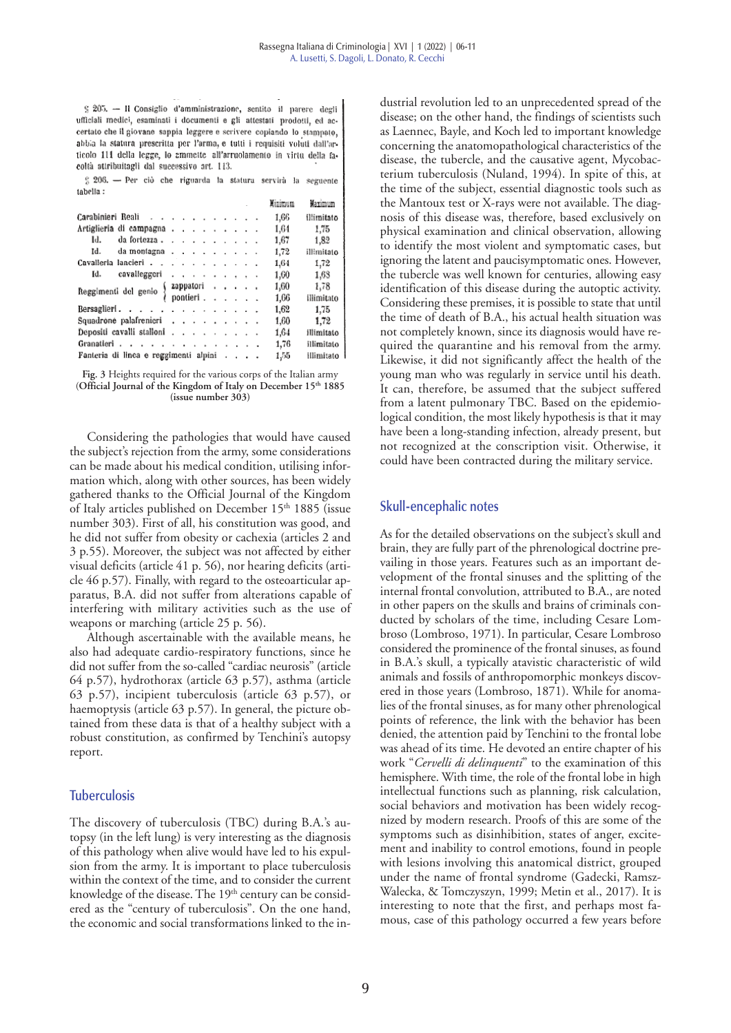§ 205. - Il Consiglio d'amministrazione, sentito il parere degli ufficiali medici, esaminati i documenti e gli attestati prodotti, ed accertato che il giovane sappia leggere e scrivere copiando lo stampato, abbia la statura prescritta per l'arma, e tutti i requisiti voluti dall'articolo 111 della legge, lo ammette all'arruolamento in virtù della facoltà attribuitagli dal successivo art. 113.

 $\frac{c}{b}$  206. - Per ciò che riguarda la statura servirà la seguente tabelia:

|                                                                                                                                     |  |  |  |  |  |  |  |      | Minimum | Maximum    |
|-------------------------------------------------------------------------------------------------------------------------------------|--|--|--|--|--|--|--|------|---------|------------|
| Carabinieri Reali                                                                                                                   |  |  |  |  |  |  |  |      | 1.66    | illimitato |
| Artiglieria di campagna                                                                                                             |  |  |  |  |  |  |  |      | 1.64    | 1,75       |
| Id.<br>da fortezza $\ldots$ $\ldots$ $\ldots$ $\ldots$                                                                              |  |  |  |  |  |  |  |      | 1,67    | 1,82       |
| Id.<br>da montagna                                                                                                                  |  |  |  |  |  |  |  |      | 1,72    | illimitato |
| Cavalleria lancieri                                                                                                                 |  |  |  |  |  |  |  |      | 1,64    | 1,72       |
| cavalleggeri<br>Id.                                                                                                                 |  |  |  |  |  |  |  |      | 1,60    | 1,68       |
| Reggimenti del genio $\left\{\begin{array}{ccc} \text{zappa} & \dots & \dots \\ \text{pontieri} & \dots & \dots \end{array}\right.$ |  |  |  |  |  |  |  | 1,60 | 1,78    |            |
|                                                                                                                                     |  |  |  |  |  |  |  |      | 1,66    | illimitato |
| Bersaglieri                                                                                                                         |  |  |  |  |  |  |  |      | 1,62    | 1.75       |
| Squadrone palafrenieri                                                                                                              |  |  |  |  |  |  |  |      | 1,60    | 1,72       |
| Depositi cavalli stalloni                                                                                                           |  |  |  |  |  |  |  |      | 1.64    | illimitato |
| Granatieri                                                                                                                          |  |  |  |  |  |  |  |      | 1,76    | illimitato |
| Fanteria di linea e reggimenti alpini                                                                                               |  |  |  |  |  |  |  |      | 1,55    | illimitato |

**Fig. 3** Heights required for the various corps of the Italian army (**Official Journal of the Kingdom of Italy on December 15th 1885 (issue number 303)**

Considering the pathologies that would have caused the subject's rejection from the army, some considerations can be made about his medical condition, utilising information which, along with other sources, has been widely gathered thanks to the Official Journal of the Kingdom of Italy articles published on December  $15<sup>th</sup> 1885$  (issue number 303). First of all, his constitution was good, and he did not suffer from obesity or cachexia (articles 2 and 3 p.55). Moreover, the subject was not affected by either visual deficits (article 41 p. 56), nor hearing deficits (article 46 p.57). Finally, with regard to the osteoarticular apparatus, B.A. did not suffer from alterations capable of interfering with military activities such as the use of weapons or marching (article 25 p. 56).

Although ascertainable with the available means, he also had adequate cardio-respiratory functions, since he did not suffer from the so-called "cardiac neurosis" (article 64 p.57), hydrothorax (article 63 p.57), asthma (article 63 p.57), incipient tuberculosis (article 63 p.57), or haemoptysis (article 63 p.57). In general, the picture obtained from these data is that of a healthy subject with a robust constitution, as confirmed by Tenchini's autopsy report.

### **Tuberculosis**

The discovery of tuberculosis (TBC) during B.A.'s autopsy (in the left lung) is very interesting as the diagnosis of this pathology when alive would have led to his expulsion from the army. It is important to place tuberculosis within the context of the time, and to consider the current knowledge of the disease. The 19<sup>th</sup> century can be considered as the "century of tuberculosis". On the one hand, the economic and social transformations linked to the industrial revolution led to an unprecedented spread of the disease; on the other hand, the findings of scientists such as Laennec, Bayle, and Koch led to important knowledge concerning the anatomopathological characteristics of the disease, the tubercle, and the causative agent, Mycobacterium tuberculosis (Nuland, 1994). In spite of this, at the time of the subject, essential diagnostic tools such as the Mantoux test or X-rays were not available. The diagnosis of this disease was, therefore, based exclusively on physical examination and clinical observation, allowing to identify the most violent and symptomatic cases, but ignoring the latent and paucisymptomatic ones. However, the tubercle was well known for centuries, allowing easy identification of this disease during the autoptic activity. Considering these premises, it is possible to state that until the time of death of B.A., his actual health situation was not completely known, since its diagnosis would have required the quarantine and his removal from the army. Likewise, it did not significantly affect the health of the young man who was regularly in service until his death. It can, therefore, be assumed that the subject suffered from a latent pulmonary TBC. Based on the epidemiological condition, the most likely hypothesis is that it may have been a long-standing infection, already present, but not recognized at the conscription visit. Otherwise, it could have been contracted during the military service.

### **Skull-encephalic notes**

As for the detailed observations on the subject's skull and brain, they are fully part of the phrenological doctrine prevailing in those years. Features such as an important development of the frontal sinuses and the splitting of the internal frontal convolution, attributed to B.A., are noted in other papers on the skulls and brains of criminals conducted by scholars of the time, including Cesare Lombroso (Lombroso, 1971). In particular, Cesare Lombroso considered the prominence of the frontal sinuses, as found in B.A.'s skull, a typically atavistic characteristic of wild animals and fossils of anthropomorphic monkeys discovered in those years (Lombroso, 1871). While for anomalies of the frontal sinuses, as for many other phrenological points of reference, the link with the behavior has been denied, the attention paid by Tenchini to the frontal lobe was ahead of its time. He devoted an entire chapter of his work "*Cervelli di delinquenti*" to the examination of this hemisphere. With time, the role of the frontal lobe in high intellectual functions such as planning, risk calculation, social behaviors and motivation has been widely recognized by modern research. Proofs of this are some of the symptoms such as disinhibition, states of anger, excitement and inability to control emotions, found in people with lesions involving this anatomical district, grouped under the name of frontal syndrome (Gadecki, Ramsz-Walecka, & Tomczyszyn, 1999; Metin et al., 2017). It is interesting to note that the first, and perhaps most famous, case of this pathology occurred a few years before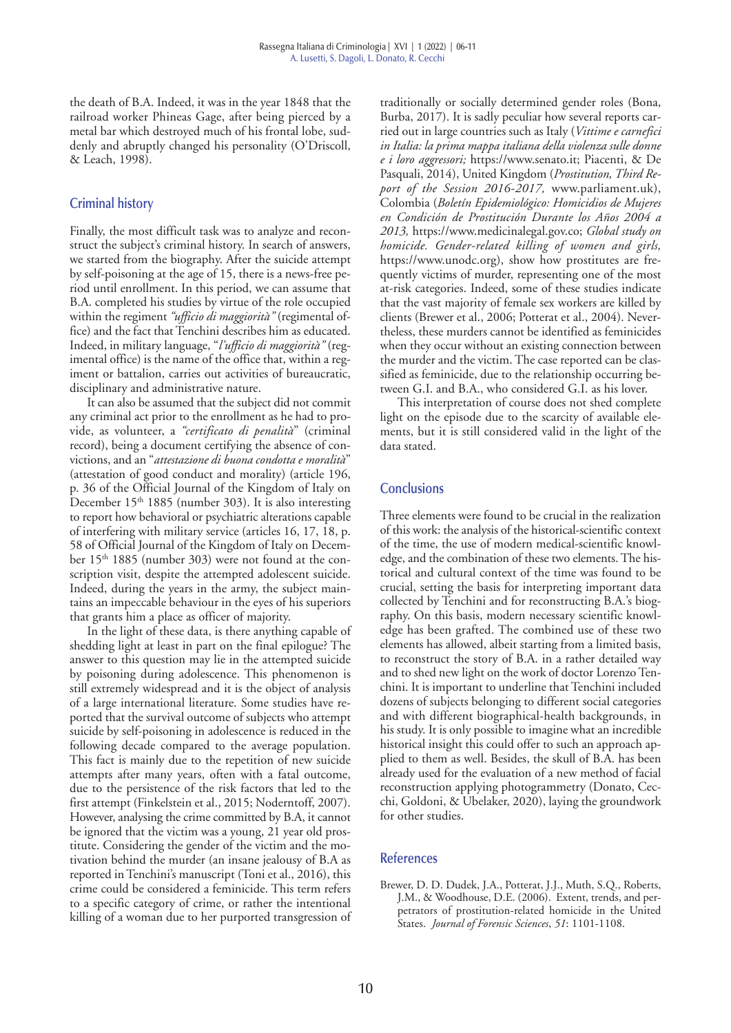the death of B.A. Indeed, it was in the year 1848 that the railroad worker Phineas Gage, after being pierced by a metal bar which destroyed much of his frontal lobe, suddenly and abruptly changed his personality (O'Driscoll, & Leach, 1998).

# **Criminal history**

Finally, the most difficult task was to analyze and reconstruct the subject's criminal history. In search of answers, we started from the biography. After the suicide attempt by self-poisoning at the age of 15, there is a news-free period until enrollment. In this period, we can assume that B.A. completed his studies by virtue of the role occupied within the regiment *"ufficio di maggiorità"* (regimental office) and the fact that Tenchini describes him as educated. Indeed, in military language, "*l'ufficio di maggiorità"* (regimental office) is the name of the office that, within a regiment or battalion, carries out activities of bureaucratic, disciplinary and administrative nature.

It can also be assumed that the subject did not commit any criminal act prior to the enrollment as he had to provide, as volunteer, a *"certificato di penalità*" (criminal record), being a document certifying the absence of convictions, and an "*attestazione di buona condotta e moralità*" (attestation of good conduct and morality) (article 196, p. 36 of the Official Journal of the Kingdom of Italy on December 15<sup>th</sup> 1885 (number 303). It is also interesting to report how behavioral or psychiatric alterations capable of interfering with military service (articles 16, 17, 18, p. 58 of Official Journal of the Kingdom of Italy on December 15th 1885 (number 303) were not found at the conscription visit, despite the attempted adolescent suicide. Indeed, during the years in the army, the subject maintains an impeccable behaviour in the eyes of his superiors that grants him a place as officer of majority.

In the light of these data, is there anything capable of shedding light at least in part on the final epilogue? The answer to this question may lie in the attempted suicide by poisoning during adolescence. This phenomenon is still extremely widespread and it is the object of analysis of a large international literature. Some studies have reported that the survival outcome of subjects who attempt suicide by self-poisoning in adolescence is reduced in the following decade compared to the average population. This fact is mainly due to the repetition of new suicide attempts after many years, often with a fatal outcome, due to the persistence of the risk factors that led to the first attempt (Finkelstein et al., 2015; Noderntoff, 2007). However, analysing the crime committed by B.A, it cannot be ignored that the victim was a young, 21 year old prostitute. Considering the gender of the victim and the motivation behind the murder (an insane jealousy of B.A as reported in Tenchini's manuscript (Toni et al., 2016), this crime could be considered a feminicide. This term refers to a specific category of crime, or rather the intentional killing of a woman due to her purported transgression of

traditionally or socially determined gender roles (Bona, Burba, 2017). It is sadly peculiar how several reports carried out in large countries such as Italy (*Vittime e carnefici in Italia: la prima mappa italiana della violenza sulle donne e i loro aggressori;* https://www.senato.it; Piacenti, & De Pasquali, 2014), United Kingdom (*Prostitution, Third Report of the Session 2016-2017,* www.parliament.uk), Colombia (*Boletín Epidemiológico: Homicidios de Mujeres en Condición de Prostitución Durante los Años 2004 a 2013,* https://www.medicinalegal.gov.co; *Global study on homicide. Gender-related killing of women and girls,* https://www.unodc.org), show how prostitutes are frequently victims of murder, representing one of the most at-risk categories. Indeed, some of these studies indicate that the vast majority of female sex workers are killed by clients (Brewer et al., 2006; Potterat et al., 2004). Nevertheless, these murders cannot be identified as feminicides when they occur without an existing connection between the murder and the victim. The case reported can be classified as feminicide, due to the relationship occurring between G.I. and B.A., who considered G.I. as his lover.

This interpretation of course does not shed complete light on the episode due to the scarcity of available elements, but it is still considered valid in the light of the data stated.

# **Conclusions**

Three elements were found to be crucial in the realization of this work: the analysis of the historical-scientific context of the time, the use of modern medical-scientific knowledge, and the combination of these two elements. The historical and cultural context of the time was found to be crucial, setting the basis for interpreting important data collected by Tenchini and for reconstructing B.A.'s biography. On this basis, modern necessary scientific knowledge has been grafted. The combined use of these two elements has allowed, albeit starting from a limited basis, to reconstruct the story of B.A. in a rather detailed way and to shed new light on the work of doctor Lorenzo Tenchini. It is important to underline that Tenchini included dozens of subjects belonging to different social categories and with different biographical-health backgrounds, in his study. It is only possible to imagine what an incredible historical insight this could offer to such an approach applied to them as well. Besides, the skull of B.A. has been already used for the evaluation of a new method of facial reconstruction applying photogrammetry (Donato, Cecchi, Goldoni, & Ubelaker, 2020), laying the groundwork for other studies.

### **References**

Brewer, D. D. Dudek, J.A., Potterat, J.J., Muth, S.Q., Roberts, J.M., & Woodhouse, D.E. (2006). Extent, trends, and perpetrators of prostitution-related homicide in the United States. *Journal of Forensic Sciences*, *51*: 1101-1108.